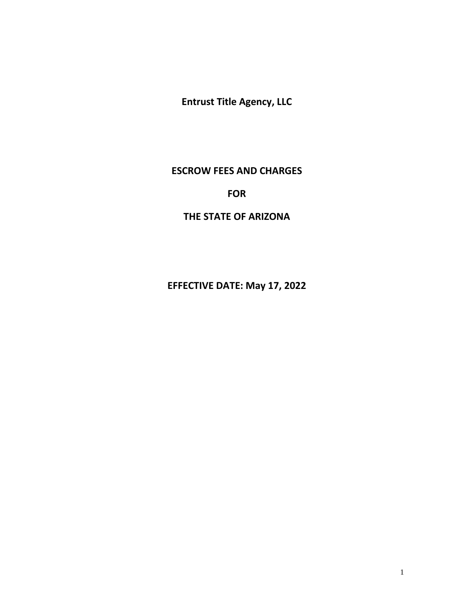**Entrust Title Agency, LLC**

## **ESCROW FEES AND CHARGES**

# **FOR**

# **THE STATE OF ARIZONA**

**EFFECTIVE DATE: May 17, 2022**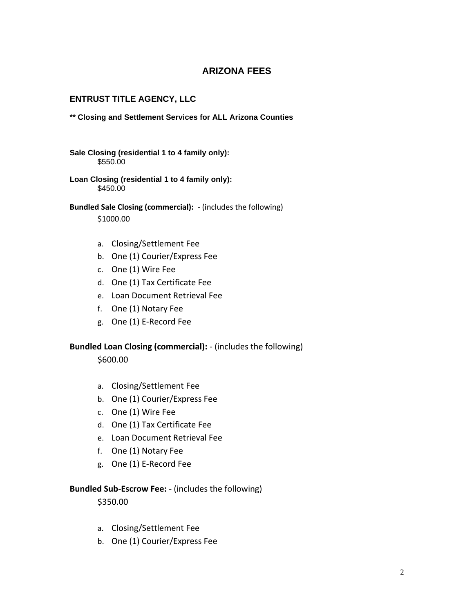## **ARIZONA FEES**

## **ENTRUST TITLE AGENCY, LLC**

#### **\*\* Closing and Settlement Services for ALL Arizona Counties**

- **Sale Closing (residential 1 to 4 family only):** \$550.00
- **Loan Closing (residential 1 to 4 family only):** \$450.00
- **Bundled Sale Closing (commercial):** (includes the following) \$1000.00
	- a. Closing/Settlement Fee
	- b. One (1) Courier/Express Fee
	- c. One (1) Wire Fee
	- d. One (1) Tax Certificate Fee
	- e. Loan Document Retrieval Fee
	- f. One (1) Notary Fee
	- g. One (1) E-Record Fee

#### **Bundled Loan Closing (commercial):** - (includes the following)

\$600.00

- a. Closing/Settlement Fee
- b. One (1) Courier/Express Fee
- c. One (1) Wire Fee
- d. One (1) Tax Certificate Fee
- e. Loan Document Retrieval Fee
- f. One (1) Notary Fee
- g. One (1) E-Record Fee

#### **Bundled Sub-Escrow Fee:** - (includes the following)

\$350.00

- a. Closing/Settlement Fee
- b. One (1) Courier/Express Fee